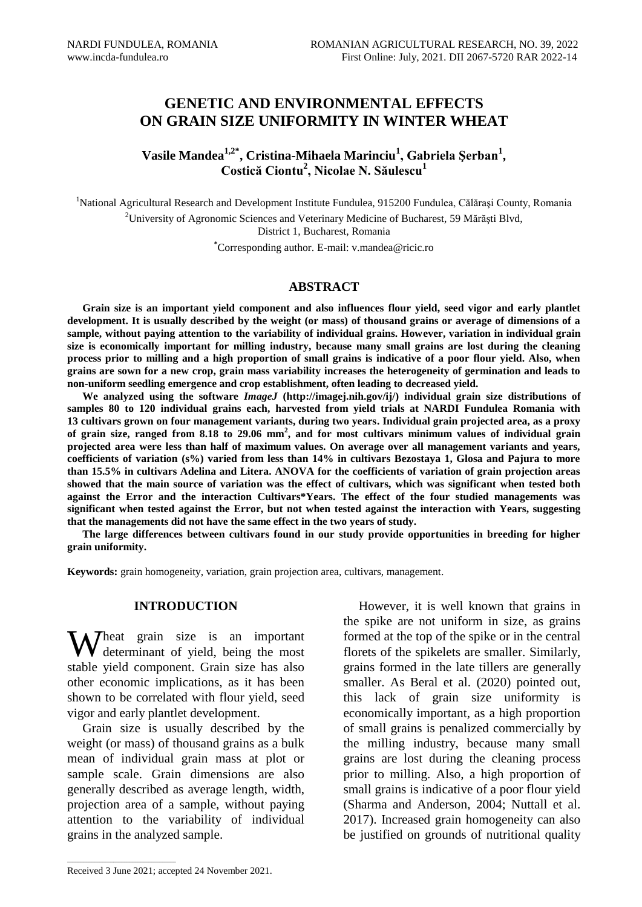# **GENETIC AND ENVIRONMENTAL EFFECTS ON GRAIN SIZE UNIFORMITY IN WINTER WHEAT**

**Vasile Mandea1,2\*, Cristina-Mihaela Marinciu<sup>1</sup> , Gabriela Şerban<sup>1</sup> , Costică Ciontu<sup>2</sup> , Nicolae N. Săulescu<sup>1</sup>**

<sup>1</sup>National Agricultural Research and Development Institute Fundulea, 915200 Fundulea, Călărași County, Romania <sup>2</sup>University of Agronomic Sciences and Veterinary Medicine of Bucharest, 59 Mărăşti Blvd, District 1, Bucharest, Romania **\***Corresponding author. E-mail: v.mandea@ricic.ro

## **ABSTRACT**

**Grain size is an important yield component and also influences flour yield, seed vigor and early plantlet development. It is usually described by the weight (or mass) of thousand grains or average of dimensions of a sample, without paying attention to the variability of individual grains. However, variation in individual grain size is economically important for milling industry, because many small grains are lost during the cleaning process prior to milling and a high proportion of small grains is indicative of a poor flour yield. Also, when grains are sown for a new crop, grain mass variability increases the heterogeneity of germination and leads to non-uniform seedling emergence and crop establishment, often leading to decreased yield.**

**We analyzed using the software** *ImageJ* **[\(http://imagej.nih.gov/ij/\)](http://imagej.nih.gov/ij/) individual grain size distributions of samples 80 to 120 individual grains each, harvested from yield trials at NARDI Fundulea Romania with 13 cultivars grown on four management variants, during two years. Individual grain projected area, as a proxy of grain size, ranged from 8.18 to 29.06 mm<sup>2</sup> , and for most cultivars minimum values of individual grain projected area were less than half of maximum values. On average over all management variants and years, coefficients of variation (s%) varied from less than 14% in cultivars Bezostaya 1, Glosa and Pajura to more than 15.5% in cultivars Adelina and Litera. ANOVA for the coefficients of variation of grain projection areas showed that the main source of variation was the effect of cultivars, which was significant when tested both against the Error and the interaction Cultivars\*Years. The effect of the four studied managements was significant when tested against the Error, but not when tested against the interaction with Years, suggesting that the managements did not have the same effect in the two years of study.**

**The large differences between cultivars found in our study provide opportunities in breeding for higher grain uniformity.**

**Keywords:** grain homogeneity, variation, grain projection area, cultivars, management.

#### **INTRODUCTION**

Wheat grain size is an important<br>determinant of yield, being the most determinant of yield, being the most stable yield component. Grain size has also other economic implications, as it has been shown to be correlated with flour yield, seed vigor and early plantlet development.

Grain size is usually described by the weight (or mass) of thousand grains as a bulk mean of individual grain mass at plot or sample scale. Grain dimensions are also generally described as average length, width, projection area of a sample, without paying attention to the variability of individual grains in the analyzed sample.

However, it is well known that grains in the spike are not uniform in size, as grains formed at the top of the spike or in the central florets of the spikelets are smaller. Similarly, grains formed in the late tillers are generally smaller. As Beral et al. (2020) pointed out, this lack of grain size uniformity is economically important, as a high proportion of small grains is penalized commercially by the milling industry, because many small grains are lost during the cleaning process prior to milling. Also, a high proportion of small grains is indicative of a poor flour yield (Sharma and Anderson, 2004; Nuttall et al. 2017). Increased grain homogeneity can also be justified on grounds of nutritional quality

 $\mathcal{L}_\text{max}$  and  $\mathcal{L}_\text{max}$  and  $\mathcal{L}_\text{max}$  and  $\mathcal{L}_\text{max}$ 

Received 3 June 2021; accepted 24 November 2021.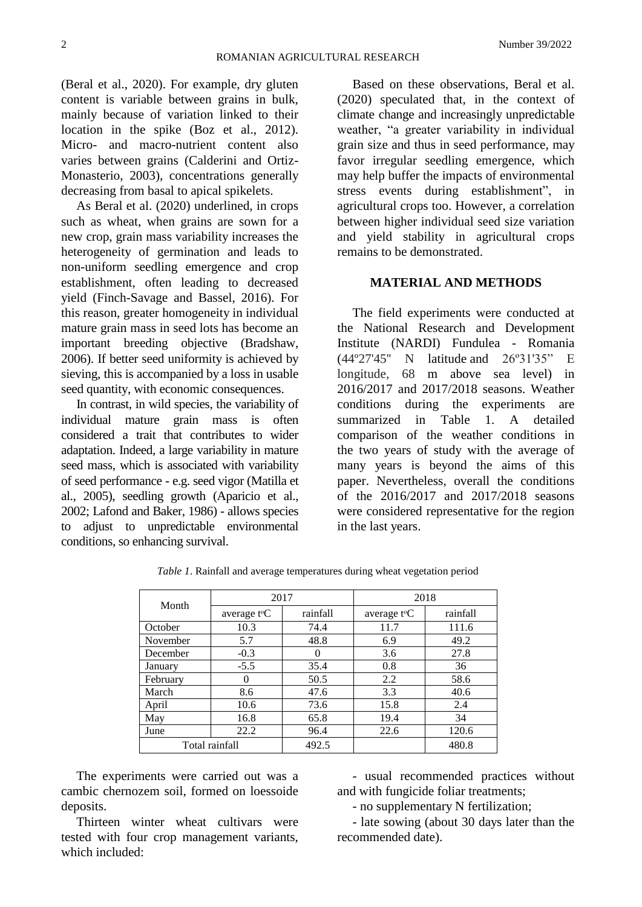(Beral et al., 2020). For example, dry gluten content is variable between grains in bulk, mainly because of variation linked to their location in the spike (Boz et al., 2012). Micro- and macro-nutrient content also varies between grains (Calderini and Ortiz-Monasterio, 2003), concentrations generally decreasing from basal to apical spikelets.

As Beral et al. (2020) underlined, in crops such as wheat, when grains are sown for a new crop, grain mass variability increases the heterogeneity of germination and leads to non-uniform seedling emergence and crop establishment, often leading to decreased yield (Finch-Savage and Bassel, 2016). For this reason, greater homogeneity in individual mature grain mass in seed lots has become an important breeding objective (Bradshaw, 2006). If better seed uniformity is achieved by sieving, this is accompanied by a loss in usable seed quantity, with economic consequences.

In contrast, in wild species, the variability of individual mature grain mass is often considered a trait that contributes to wider adaptation. Indeed, a large variability in mature seed mass, which is associated with variability of seed performance - e.g. seed vigor (Matilla et al., 2005), seedling growth (Aparicio et al., 2002; Lafond and Baker, 1986) - allows species to adjust to unpredictable environmental conditions, so enhancing survival.

Based on these observations, Beral et al. (2020) speculated that, in the context of climate change and increasingly unpredictable weather, "a greater variability in individual grain size and thus in seed performance, may favor irregular seedling emergence, which may help buffer the impacts of environmental stress events during establishment", in agricultural crops too. However, a correlation between higher individual seed size variation and yield stability in agricultural crops remains to be demonstrated.

## **MATERIAL AND METHODS**

The field experiments were conducted at the National Research and Development Institute (NARDI) Fundulea - Romania (44º27'45'' N latitude and 26º31'35" E longitude, 68 m above sea level) in 2016/2017 and 2017/2018 seasons. Weather conditions during the experiments are summarized in Table 1. A detailed comparison of the weather conditions in the two years of study with the average of many years is beyond the aims of this paper. Nevertheless, overall the conditions of the 2016/2017 and 2017/2018 seasons were considered representative for the region in the last years.

| Month          | 2017                     |          | 2018                         |          |  |
|----------------|--------------------------|----------|------------------------------|----------|--|
|                | average t <sup>o</sup> C | rainfall | average $t$ <sup>o</sup> $C$ | rainfall |  |
| October        | 10.3                     | 74.4     | 11.7                         | 111.6    |  |
| November       | 5.7                      | 48.8     | 6.9                          | 49.2     |  |
| December       | $-0.3$                   |          | 3.6                          | 27.8     |  |
| January        | $-5.5$                   | 35.4     | 0.8                          | 36       |  |
| February       | 0                        | 50.5     | 2.2                          | 58.6     |  |
| March          | 8.6                      | 47.6     | 3.3                          | 40.6     |  |
| April          | 10.6                     | 73.6     | 15.8                         | 2.4      |  |
| May            | 16.8                     | 65.8     | 19.4                         | 34       |  |
| June           | 22.2                     | 96.4     | 22.6                         | 120.6    |  |
| Total rainfall |                          | 492.5    |                              | 480.8    |  |

*Table 1*. Rainfall and average temperatures during wheat vegetation period

The experiments were carried out was a cambic chernozem soil, formed on loessoide deposits.

Thirteen winter wheat cultivars were tested with four crop management variants, which included:

- usual recommended practices without and with fungicide foliar treatments;

- no supplementary N fertilization;

- late sowing (about 30 days later than the recommended date).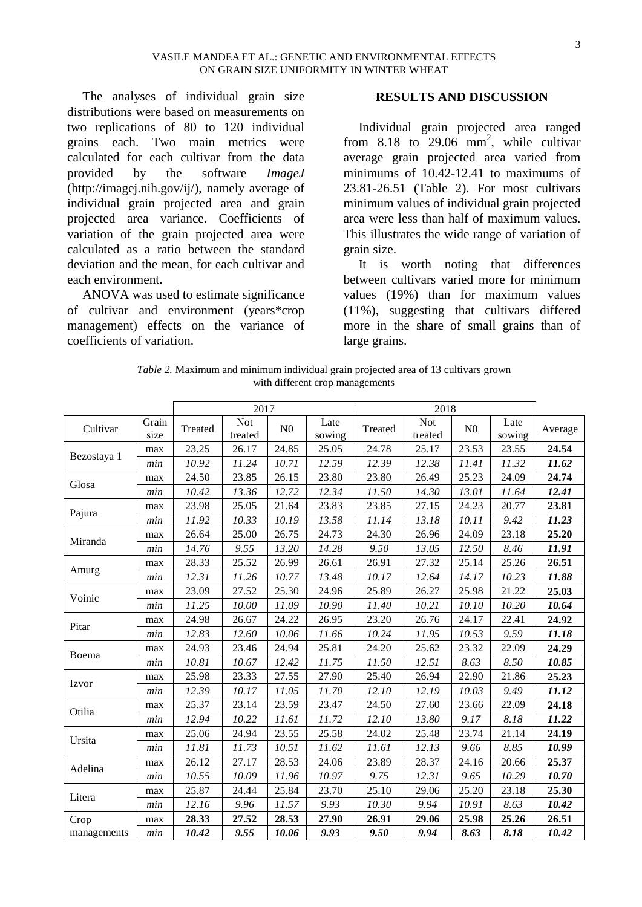The analyses of individual grain size distributions were based on measurements on two replications of 80 to 120 individual grains each. Two main metrics were calculated for each cultivar from the data provided by the software *ImageJ* [\(http://imagej.nih.gov/ij/\)](http://imagej.nih.gov/ij/), namely average of individual grain projected area and grain projected area variance. Coefficients of variation of the grain projected area were calculated as a ratio between the standard deviation and the mean, for each cultivar and each environment.

ANOVA was used to estimate significance of cultivar and environment (years\*crop management) effects on the variance of coefficients of variation.

### **RESULTS AND DISCUSSION**

Individual grain projected area ranged from  $8.18$  to  $29.06$  mm<sup>2</sup>, while cultivar average grain projected area varied from minimums of 10.42-12.41 to maximums of 23.81-26.51 (Table 2). For most cultivars minimum values of individual grain projected area were less than half of maximum values. This illustrates the wide range of variation of grain size.

It is worth noting that differences between cultivars varied more for minimum values (19%) than for maximum values (11%), suggesting that cultivars differed more in the share of small grains than of large grains.

| Table 2. Maximum and minimum individual grain projected area of 13 cultivars grown |  |
|------------------------------------------------------------------------------------|--|
| with different crop managements                                                    |  |

|             |       |         | 2017       | 2018           |        |         |            |                |        |         |
|-------------|-------|---------|------------|----------------|--------|---------|------------|----------------|--------|---------|
| Cultivar    | Grain | Treated | <b>Not</b> | N <sub>0</sub> | Late   | Treated | <b>Not</b> | N <sub>0</sub> | Late   | Average |
|             | size  |         | treated    |                | sowing |         | treated    |                | sowing |         |
| Bezostaya 1 | max   | 23.25   | 26.17      | 24.85          | 25.05  | 24.78   | 25.17      | 23.53          | 23.55  | 24.54   |
|             | min   | 10.92   | 11.24      | 10.71          | 12.59  | 12.39   | 12.38      | 11.41          | 11.32  | 11.62   |
| Glosa       | max   | 24.50   | 23.85      | 26.15          | 23.80  | 23.80   | 26.49      | 25.23          | 24.09  | 24.74   |
|             | min   | 10.42   | 13.36      | 12.72          | 12.34  | 11.50   | 14.30      | 13.01          | 11.64  | 12.41   |
| Pajura      | max   | 23.98   | 25.05      | 21.64          | 23.83  | 23.85   | 27.15      | 24.23          | 20.77  | 23.81   |
|             | min   | 11.92   | 10.33      | 10.19          | 13.58  | 11.14   | 13.18      | 10.11          | 9.42   | 11.23   |
| Miranda     | max   | 26.64   | 25.00      | 26.75          | 24.73  | 24.30   | 26.96      | 24.09          | 23.18  | 25.20   |
|             | min   | 14.76   | 9.55       | 13.20          | 14.28  | 9.50    | 13.05      | 12.50          | 8.46   | 11.91   |
| Amurg       | max   | 28.33   | 25.52      | 26.99          | 26.61  | 26.91   | 27.32      | 25.14          | 25.26  | 26.51   |
|             | min   | 12.31   | 11.26      | 10.77          | 13.48  | 10.17   | 12.64      | 14.17          | 10.23  | 11.88   |
|             | max   | 23.09   | 27.52      | 25.30          | 24.96  | 25.89   | 26.27      | 25.98          | 21.22  | 25.03   |
| Voinic      | min   | 11.25   | 10.00      | 11.09          | 10.90  | 11.40   | 10.21      | 10.10          | 10.20  | 10.64   |
|             | max   | 24.98   | 26.67      | 24.22          | 26.95  | 23.20   | 26.76      | 24.17          | 22.41  | 24.92   |
| Pitar       | min   | 12.83   | 12.60      | 10.06          | 11.66  | 10.24   | 11.95      | 10.53          | 9.59   | 11.18   |
|             | max   | 24.93   | 23.46      | 24.94          | 25.81  | 24.20   | 25.62      | 23.32          | 22.09  | 24.29   |
| Boema       | min   | 10.81   | 10.67      | 12.42          | 11.75  | 11.50   | 12.51      | 8.63           | 8.50   | 10.85   |
|             | max   | 25.98   | 23.33      | 27.55          | 27.90  | 25.40   | 26.94      | 22.90          | 21.86  | 25.23   |
| Izvor       | min   | 12.39   | 10.17      | 11.05          | 11.70  | 12.10   | 12.19      | 10.03          | 9.49   | 11.12   |
|             | max   | 25.37   | 23.14      | 23.59          | 23.47  | 24.50   | 27.60      | 23.66          | 22.09  | 24.18   |
| Otilia      | min   | 12.94   | 10.22      | 11.61          | 11.72  | 12.10   | 13.80      | 9.17           | 8.18   | 11.22   |
|             | max   | 25.06   | 24.94      | 23.55          | 25.58  | 24.02   | 25.48      | 23.74          | 21.14  | 24.19   |
| Ursita      | min   | 11.81   | 11.73      | 10.51          | 11.62  | 11.61   | 12.13      | 9.66           | 8.85   | 10.99   |
|             | max   | 26.12   | 27.17      | 28.53          | 24.06  | 23.89   | 28.37      | 24.16          | 20.66  | 25.37   |
| Adelina     | min   | 10.55   | 10.09      | 11.96          | 10.97  | 9.75    | 12.31      | 9.65           | 10.29  | 10.70   |
|             | max   | 25.87   | 24.44      | 25.84          | 23.70  | 25.10   | 29.06      | 25.20          | 23.18  | 25.30   |
| Litera      | min   | 12.16   | 9.96       | 11.57          | 9.93   | 10.30   | 9.94       | 10.91          | 8.63   | 10.42   |
| Crop        | max   | 28.33   | 27.52      | 28.53          | 27.90  | 26.91   | 29.06      | 25.98          | 25.26  | 26.51   |
| managements | min   | 10.42   | 9.55       | 10.06          | 9.93   | 9.50    | 9.94       | 8.63           | 8.18   | 10.42   |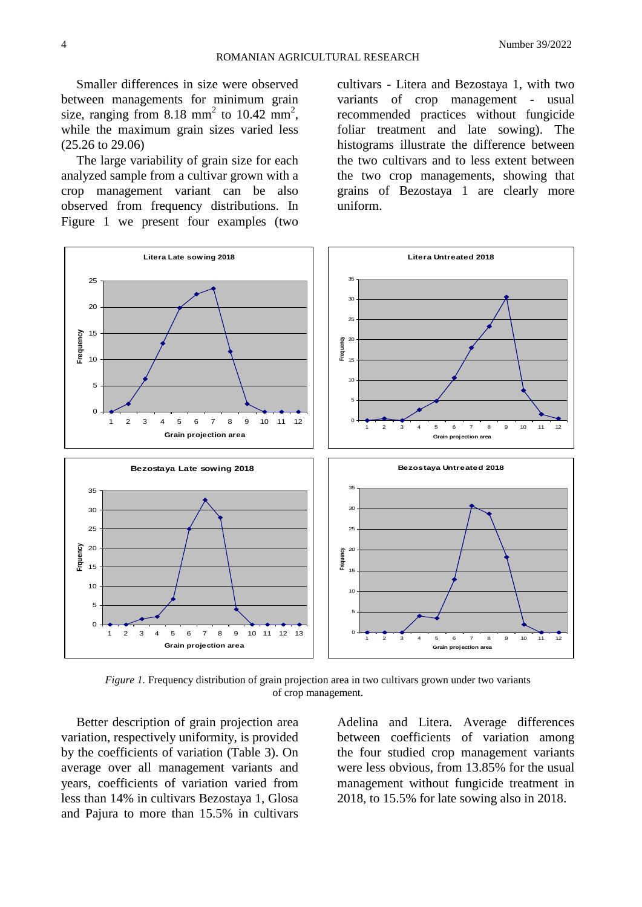Smaller differences in size were observed between managements for minimum grain size, ranging from  $8.18 \text{ mm}^2$  to  $10.42 \text{ mm}^2$ , while the maximum grain sizes varied less (25.26 to 29.06)

The large variability of grain size for each analyzed sample from a cultivar grown with a crop management variant can be also observed from frequency distributions. In Figure 1 we present four examples (two

cultivars - Litera and Bezostaya 1, with two variants of crop management - usual recommended practices without fungicide foliar treatment and late sowing). The histograms illustrate the difference between the two cultivars and to less extent between the two crop managements, showing that grains of Bezostaya 1 are clearly more uniform.



*Figure 1.* Frequency distribution of grain projection area in two cultivars grown under two variants of crop management.

Better description of grain projection area variation, respectively uniformity, is provided by the coefficients of variation (Table 3). On average over all management variants and years, coefficients of variation varied from less than 14% in cultivars Bezostaya 1, Glosa and Pajura to more than 15.5% in cultivars

Adelina and Litera. Average differences between coefficients of variation among the four studied crop management variants were less obvious, from 13.85% for the usual management without fungicide treatment in 2018, to 15.5% for late sowing also in 2018.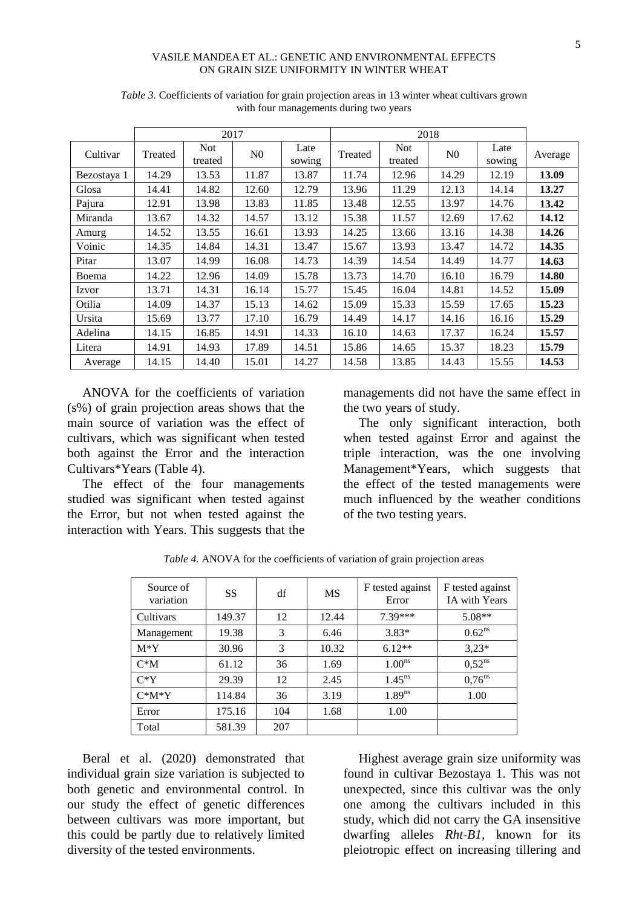#### VASILE MANDEA ET AL.: GENETIC AND ENVIRONMENTAL EFFECTS ON GRAIN SIZE UNIFORMITY IN WINTER WHEAT

|             |         | 2017                  |                |                | 2018    |                       |                |                |         |
|-------------|---------|-----------------------|----------------|----------------|---------|-----------------------|----------------|----------------|---------|
| Cultivar    | Treated | <b>Not</b><br>treated | N <sub>0</sub> | Late<br>sowing | Treated | <b>Not</b><br>treated | N <sub>0</sub> | Late<br>sowing | Average |
| Bezostaya 1 | 14.29   | 13.53                 | 11.87          | 13.87          | 11.74   | 12.96                 | 14.29          | 12.19          | 13.09   |
| Glosa       | 14.41   | 14.82                 | 12.60          | 12.79          | 13.96   | 11.29                 | 12.13          | 14.14          | 13.27   |
| Pajura      | 12.91   | 13.98                 | 13.83          | 11.85          | 13.48   | 12.55                 | 13.97          | 14.76          | 13.42   |
| Miranda     | 13.67   | 14.32                 | 14.57          | 13.12          | 15.38   | 11.57                 | 12.69          | 17.62          | 14.12   |
| Amurg       | 14.52   | 13.55                 | 16.61          | 13.93          | 14.25   | 13.66                 | 13.16          | 14.38          | 14.26   |
| Voinic      | 14.35   | 14.84                 | 14.31          | 13.47          | 15.67   | 13.93                 | 13.47          | 14.72          | 14.35   |
| Pitar       | 13.07   | 14.99                 | 16.08          | 14.73          | 14.39   | 14.54                 | 14.49          | 14.77          | 14.63   |
| Boema       | 14.22   | 12.96                 | 14.09          | 15.78          | 13.73   | 14.70                 | 16.10          | 16.79          | 14.80   |
| Izvor       | 13.71   | 14.31                 | 16.14          | 15.77          | 15.45   | 16.04                 | 14.81          | 14.52          | 15.09   |
| Otilia      | 14.09   | 14.37                 | 15.13          | 14.62          | 15.09   | 15.33                 | 15.59          | 17.65          | 15.23   |
| Ursita      | 15.69   | 13.77                 | 17.10          | 16.79          | 14.49   | 14.17                 | 14.16          | 16.16          | 15.29   |
| Adelina     | 14.15   | 16.85                 | 14.91          | 14.33          | 16.10   | 14.63                 | 17.37          | 16.24          | 15.57   |
| Litera      | 14.91   | 14.93                 | 17.89          | 14.51          | 15.86   | 14.65                 | 15.37          | 18.23          | 15.79   |
| Average     | 14.15   | 14.40                 | 15.01          | 14.27          | 14.58   | 13.85                 | 14.43          | 15.55          | 14.53   |

*Table 3.* Coefficients of variation for grain projection areas in 13 winter wheat cultivars grown with four managements during two years

ANOVA for the coefficients of variation (s%) of grain projection areas shows that the main source of variation was the effect of cultivars, which was significant when tested both against the Error and the interaction Cultivars\*Years (Table 4).

The effect of the four managements studied was significant when tested against the Error, but not when tested against the interaction with Years. This suggests that the managements did not have the same effect in the two years of study.

The only significant interaction, both when tested against Error and against the triple interaction, was the one involving Management\*Years, which suggests that the effect of the tested managements were much influenced by the weather conditions of the two testing years.

| Source of<br>variation | <b>SS</b> | df  | <b>MS</b> | F tested against<br>Error | F tested against<br><b>IA</b> with Years |
|------------------------|-----------|-----|-----------|---------------------------|------------------------------------------|
| Cultivars              | 149.37    | 12  | 12.44     | $7.39***$                 | $5.08**$                                 |
| Management             | 19.38     | 3   | 6.46      | $3.83*$                   | $0.62^{ns}$                              |
| $M^*Y$                 | 30.96     | 3   | 10.32     | $6.12**$                  | $3,23*$                                  |
| $C^*M$                 | 61.12     | 36  | 1.69      | 1.00 <sup>ns</sup>        | $0.52^{ns}$                              |
| $C*Y$                  | 29.39     | 12  | 2.45      | $1.45^{ns}$               | $0.76^{ns}$                              |
| $C^*M^*Y$              | 114.84    | 36  | 3.19      | 1.89 <sup>ns</sup>        | 1.00                                     |
| Error                  | 175.16    | 104 | 1.68      | 1.00                      |                                          |
| Total                  | 581.39    | 207 |           |                           |                                          |

*Table 4.* ANOVA for the coefficients of variation of grain projection areas

Beral et al. (2020) demonstrated that individual grain size variation is subjected to both genetic and environmental control. In our study the effect of genetic differences between cultivars was more important, but this could be partly due to relatively limited diversity of the tested environments.

Highest average grain size uniformity was found in cultivar Bezostaya 1. This was not unexpected, since this cultivar was the only one among the cultivars included in this study, which did not carry the GA insensitive dwarfing alleles *Rht‐B1,* known for its pleiotropic effect on increasing tillering and